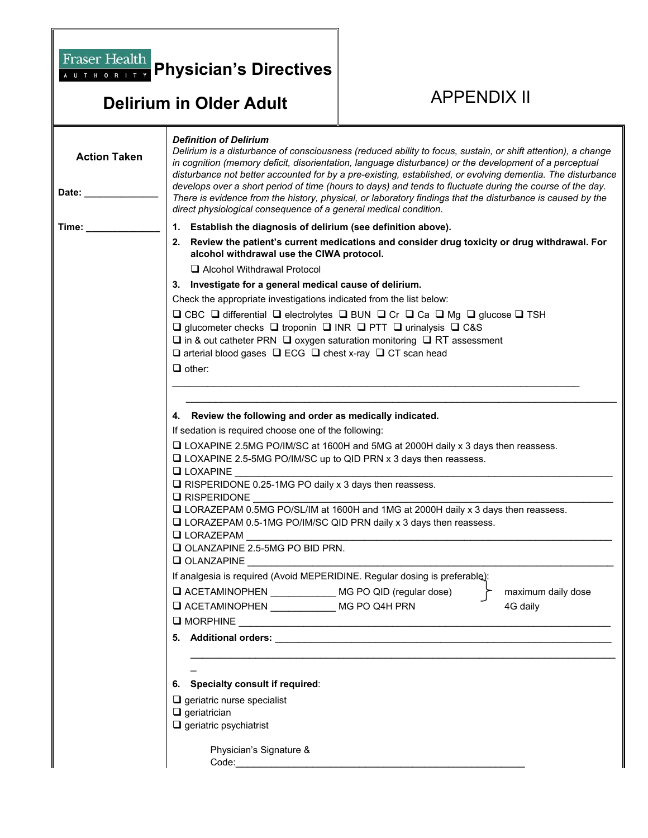## **Delirium in Older Adult APPENDIX II**

**Fraser Health Physician's Directives** 

| <b>Action Taken</b><br>Date: _ | <b>Definition of Delirium</b><br>Delirium is a disturbance of consciousness (reduced ability to focus, sustain, or shift attention), a change<br>in cognition (memory deficit, disorientation, language disturbance) or the development of a perceptual<br>disturbance not better accounted for by a pre-existing, established, or evolving dementia. The disturbance<br>develops over a short period of time (hours to days) and tends to fluctuate during the course of the day.<br>There is evidence from the history, physical, or laboratory findings that the disturbance is caused by the<br>direct physiological consequence of a general medical condition. |                                                                    |                    |  |
|--------------------------------|----------------------------------------------------------------------------------------------------------------------------------------------------------------------------------------------------------------------------------------------------------------------------------------------------------------------------------------------------------------------------------------------------------------------------------------------------------------------------------------------------------------------------------------------------------------------------------------------------------------------------------------------------------------------|--------------------------------------------------------------------|--------------------|--|
| Time: _                        | 1. Establish the diagnosis of delirium (see definition above).                                                                                                                                                                                                                                                                                                                                                                                                                                                                                                                                                                                                       |                                                                    |                    |  |
|                                | 2. Review the patient's current medications and consider drug toxicity or drug withdrawal. For<br>alcohol withdrawal use the CIWA protocol.                                                                                                                                                                                                                                                                                                                                                                                                                                                                                                                          |                                                                    |                    |  |
|                                | Alcohol Withdrawal Protocol                                                                                                                                                                                                                                                                                                                                                                                                                                                                                                                                                                                                                                          |                                                                    |                    |  |
|                                | 3. Investigate for a general medical cause of delirium.                                                                                                                                                                                                                                                                                                                                                                                                                                                                                                                                                                                                              |                                                                    |                    |  |
|                                | Check the appropriate investigations indicated from the list below:                                                                                                                                                                                                                                                                                                                                                                                                                                                                                                                                                                                                  |                                                                    |                    |  |
|                                | □ CBC □ differential □ electrolytes □ BUN □ Cr □ Ca □ Mg □ glucose □ TSH<br>$\Box$ glucometer checks $\Box$ troponin $\Box$ INR $\Box$ PTT $\Box$ urinalysis $\Box$ C&S<br>$\square$ in & out catheter PRN $\square$ oxygen saturation monitoring $\square$ RT assessment<br>$\square$ arterial blood gases $\square$ ECG $\square$ chest x-ray $\square$ CT scan head<br>$\Box$ other:                                                                                                                                                                                                                                                                              |                                                                    |                    |  |
|                                |                                                                                                                                                                                                                                                                                                                                                                                                                                                                                                                                                                                                                                                                      |                                                                    |                    |  |
|                                |                                                                                                                                                                                                                                                                                                                                                                                                                                                                                                                                                                                                                                                                      |                                                                    |                    |  |
|                                | 4. Review the following and order as medically indicated.                                                                                                                                                                                                                                                                                                                                                                                                                                                                                                                                                                                                            |                                                                    |                    |  |
|                                | If sedation is required choose one of the following:                                                                                                                                                                                                                                                                                                                                                                                                                                                                                                                                                                                                                 |                                                                    |                    |  |
|                                | □ LOXAPINE 2.5MG PO/IM/SC at 1600H and 5MG at 2000H daily x 3 days then reassess.                                                                                                                                                                                                                                                                                                                                                                                                                                                                                                                                                                                    |                                                                    |                    |  |
|                                | $\Box$ LOXAPINE 2.5-5MG PO/IM/SC up to QID PRN x 3 days then reassess.                                                                                                                                                                                                                                                                                                                                                                                                                                                                                                                                                                                               |                                                                    |                    |  |
|                                | $\Box$ LOXAPINE<br>$\Box$ RISPERIDONE 0.25-1MG PO daily x 3 days then reassess.                                                                                                                                                                                                                                                                                                                                                                                                                                                                                                                                                                                      |                                                                    |                    |  |
|                                | $\square$ RISPERIDONE                                                                                                                                                                                                                                                                                                                                                                                                                                                                                                                                                                                                                                                |                                                                    |                    |  |
|                                | □ LORAZEPAM 0.5MG PO/SL/IM at 1600H and 1MG at 2000H daily x 3 days then reassess.                                                                                                                                                                                                                                                                                                                                                                                                                                                                                                                                                                                   |                                                                    |                    |  |
|                                |                                                                                                                                                                                                                                                                                                                                                                                                                                                                                                                                                                                                                                                                      | □ LORAZEPAM 0.5-1MG PO/IM/SC QID PRN daily x 3 days then reassess. |                    |  |
|                                | $\Box$ LORAZEPAM                                                                                                                                                                                                                                                                                                                                                                                                                                                                                                                                                                                                                                                     |                                                                    |                    |  |
|                                |                                                                                                                                                                                                                                                                                                                                                                                                                                                                                                                                                                                                                                                                      | OLANZAPINE 2.5-5MG PO BID PRN.                                     |                    |  |
|                                | $\Box$ OLANZAPINE<br>If analgesia is required (Avoid MEPERIDINE. Regular dosing is preferable):                                                                                                                                                                                                                                                                                                                                                                                                                                                                                                                                                                      |                                                                    |                    |  |
|                                |                                                                                                                                                                                                                                                                                                                                                                                                                                                                                                                                                                                                                                                                      |                                                                    |                    |  |
|                                | $\Box$ ACETAMINOPHEN                                                                                                                                                                                                                                                                                                                                                                                                                                                                                                                                                                                                                                                 | MG PO QID (regular dose)                                           | maximum daily dose |  |
|                                | LACETAMINOPHEN MG PO Q4H PRN                                                                                                                                                                                                                                                                                                                                                                                                                                                                                                                                                                                                                                         |                                                                    | 4G daily           |  |
|                                |                                                                                                                                                                                                                                                                                                                                                                                                                                                                                                                                                                                                                                                                      |                                                                    |                    |  |
|                                |                                                                                                                                                                                                                                                                                                                                                                                                                                                                                                                                                                                                                                                                      |                                                                    |                    |  |
|                                |                                                                                                                                                                                                                                                                                                                                                                                                                                                                                                                                                                                                                                                                      |                                                                    |                    |  |
|                                |                                                                                                                                                                                                                                                                                                                                                                                                                                                                                                                                                                                                                                                                      |                                                                    |                    |  |
|                                | 6. Specialty consult if required:                                                                                                                                                                                                                                                                                                                                                                                                                                                                                                                                                                                                                                    |                                                                    |                    |  |
|                                | $\Box$ geriatric nurse specialist                                                                                                                                                                                                                                                                                                                                                                                                                                                                                                                                                                                                                                    |                                                                    |                    |  |
|                                | $\Box$ geriatrician<br>$\Box$ geriatric psychiatrist                                                                                                                                                                                                                                                                                                                                                                                                                                                                                                                                                                                                                 |                                                                    |                    |  |
|                                |                                                                                                                                                                                                                                                                                                                                                                                                                                                                                                                                                                                                                                                                      |                                                                    |                    |  |
|                                | Physician's Signature &                                                                                                                                                                                                                                                                                                                                                                                                                                                                                                                                                                                                                                              |                                                                    |                    |  |